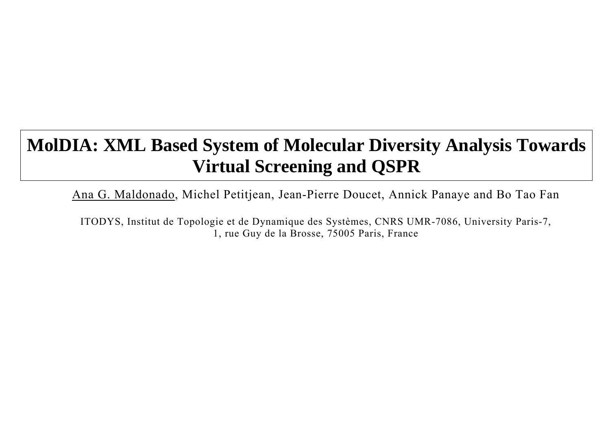# **MolDIA: XML Based System of Molecular Diversity Analysis Towards Virtual Screening and QSPR**

Ana G. Maldonado, Michel Petitjean, Jean-Pierre Doucet, Annick Panaye and Bo Tao Fan

ITODYS, Institut de Topologie et de Dynamique des Systèmes, CNRS UMR-7086, University Paris-7, 1, rue Guy de la Brosse, 75005 Paris, France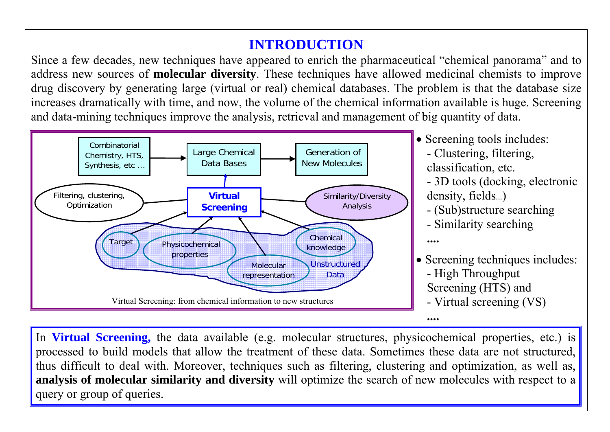# **INTRODUCTION**

Since a few decades, new techniques have appeared to enrich the pharmaceutical "chemical panorama" and to address new sources of **molecular diversity**. These techniques have allowed medicinal chemists to improve drug discovery by generating large (virtual or real) chemical databases. The problem is that the database size increases dramatically with time, and now, the volume of the chemical information available is huge. Screening and data-mining techniques improve the analysis, retrieval and management of big quantity of data.

> • Screening techniques includes: - High Throughput Screening (HTS) and - Virtual screening (VS)

> • Screening tools includes: - Clustering, filtering, classification, etc. - 3D tools (docking, electronic density, fields...) - (Sub)structure searching - Similarity searching

In **Virtual Screening,** the data available (e.g. molecular structures, physicochemical properties, etc.) is processed to build models that allow the treatment of these data. Sometimes these data are not structured, thus difficult to deal with. Moreover, techniques such as filtering, clustering and optimization, as well as, **analysis of molecular similarity and diversity** will optimize the search of new molecules with respect to a query or group of queries.

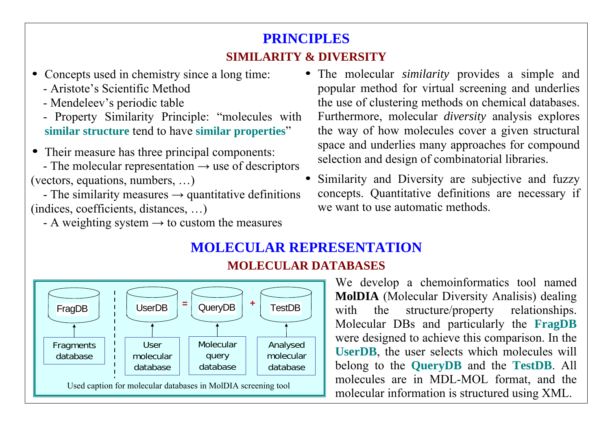# **PRINCIPLES SIMILARITY & DIVERSITY**

- Concepts used in chemistry since a long time:
	- Aristote's Scientific Method
	- Mendeleev's periodic table
	- Property Similarity Principle: "molecules with **similar structure** tend to have **similar properties**"
- •Their measure has three principal components:
- The molecular representation  $\rightarrow$  use of descriptors (vectors, equations, numbers, …)
- The similarity measures  $\rightarrow$  quantitative definitions (indices, coefficients, distances, …)
	- A weighting system  $\rightarrow$  to custom the measures

### **MOLECULAR REPRESENTATION MOLECULAR DATABASES**



- The molecular *similarity* provides a simple and popular method for virtual screening and underlies the use of clustering methods on chemical databases. Furthermore, molecular *diversity* analysis explores the way of how molecules cover a given structural space and underlies many approaches for compound selection and design of combinatorial libraries.
- • Similarity and Diversity are subjective and fuzzy concepts. Quantitative definitions are necessary if we want to use automatic methods.

We develop a chemoinformatics tool named **MolDIA** (Molecular Diversity Analisis) dealing with the structure/property relationships. Molecular DBs and particularly the **FragDB** were designed to achieve this comparison. In the **UserDB**, the user selects which molecules will belong to the **QueryDB** and the **TestDB**. All molecules are in MDL-MOL format, and the molecular information is structured using XML.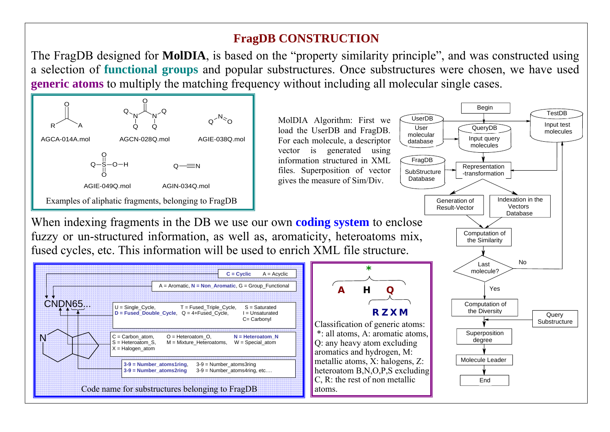### **FragDB CONSTRUCTION**

The FragDB designed for **MolDIA**, is based on the "property similarity principle", and was constructed using a selection of **functional groups** and popular substructures. Once substructures were chosen, we have used **generic atoms** to multiply the matching frequency without including all molecular single cases.



When indexing fragments in the DB we use our own **coding system** to enclose fuzzy or un-structured information, as well as, aromaticity, heteroatoms mix, fused cycles, etc. This information will be used to enrich XML file structure.

MolDIA Algorithm: First we load the UserDB and FragDB. For each molecule, a descriptor vector is generated using information structured in XML files. Superposition of vector gives the measure of Sim/Div.



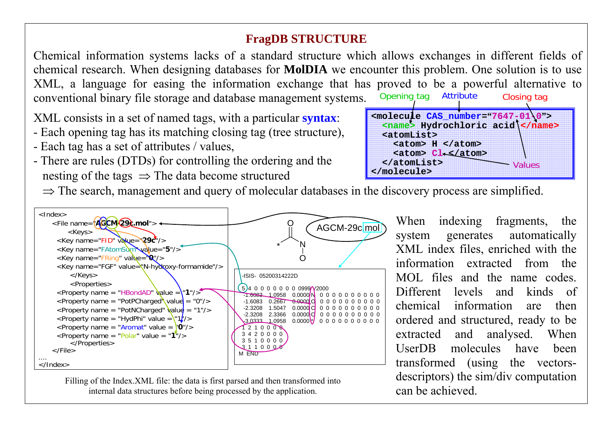### **FragDB STRUCTURE**

Chemical information systems lacks of a standard structure which allows exchanges in different fields of chemical research. When designing databases for **MolDIA** we encounter this problem. One solution is to use XML, a language for easing the information exchange that has proved to be a powerful alternative to conventional binary file storage and database management systems. Opening tag Closing tag

- Each opening tag has its matching closing tag (tree structure),
- Each tag has a set of attributes / values,
- There are rules (DTDs) for controlling the ordering and the nesting of the tags  $\Rightarrow$  The data become structured
	- $\Rightarrow$  The search, management and query of molecular databases in the discovery process are simplified.

XML consists in a set of named tags, with a particular **syntax**:

 **<atomList>** 



 **</atomList>** 

**</molecule >**

When indexing fragments, the system generates automatically XML index files, enriched with the information extracted from the MOL files and the name codes. Different levels and kinds of chemical information are then ordered and structured, ready to be extracted and analysed. When UserDB molecules have been transformed (using the vectorsdescriptors) the sim/div computation can be achieved.



Filling of the Index.XML file: the data is first parsed and then transformed into internal data structures before bein g processed b y the application.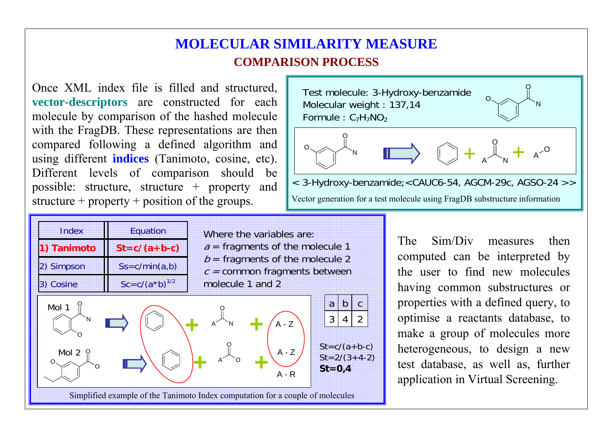## **MOLECULAR SIMILARITY MEASURE COMPARISON PROCESS**

Molecular weight : 137,14 Formule :  $\textsf{C}_7\textsf{H}_7\textsf{NO}_2$ 

Once XML index file is filled and structured, **vector-descriptors** are constructed for each molecule by comparison of the hashed molecule with the FragDB. These representations are then compared following a defined algorithm and using different **indices** (Tanimoto, cosine, etc). Different levels of comparison should be possible: structure, structure + property and structure + property + position of the groups.



The Sim/Div measures then computed can be interpreted by the user to find new molecules having common substructures or properties with a defined query, to optimise a reactants database, to make a group of molecules more heterogeneous, to design a new test database, as well as, further application in Virtual Screening.